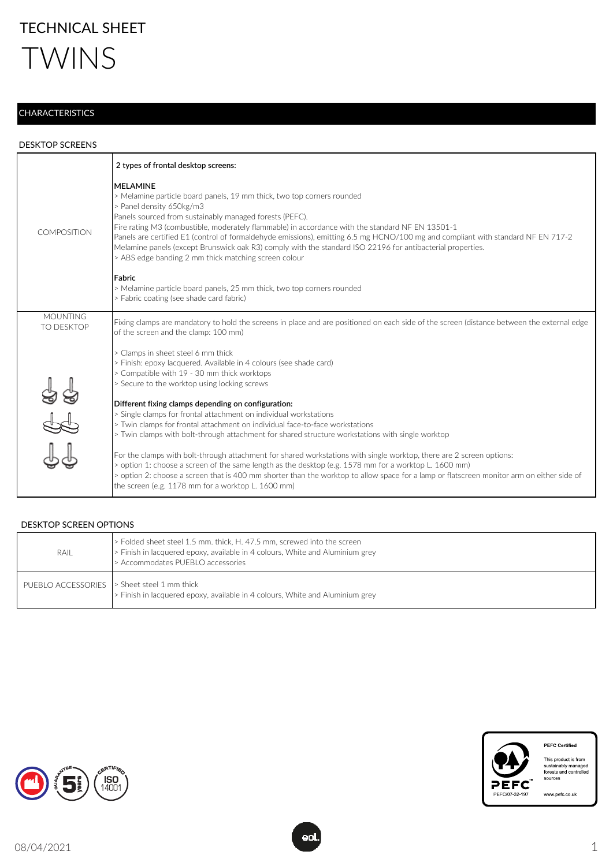

## **CHARACTERISTICS**

## DESKTOP SCREENS

|                               | 2 types of frontal desktop screens:                                                                                                                                                                                                                                                                                                                                                                                                                                                                                                                                                                                                                                                                                             |
|-------------------------------|---------------------------------------------------------------------------------------------------------------------------------------------------------------------------------------------------------------------------------------------------------------------------------------------------------------------------------------------------------------------------------------------------------------------------------------------------------------------------------------------------------------------------------------------------------------------------------------------------------------------------------------------------------------------------------------------------------------------------------|
| <b>COMPOSITION</b>            | <b>MFI AMINF</b><br>> Melamine particle board panels, 19 mm thick, two top corners rounded<br>> Panel density 650kg/m3<br>Panels sourced from sustainably managed forests (PEFC).<br>Fire rating M3 (combustible, moderately flammable) in accordance with the standard NF EN 13501-1<br>Panels are certified E1 (control of formaldehyde emissions), emitting 6.5 mg HCNO/100 mg and compliant with standard NF EN 717-2<br>Melamine panels (except Brunswick oak R3) comply with the standard ISO 22196 for antibacterial properties.<br>> ABS edge banding 2 mm thick matching screen colour<br>Fabric<br>> Melamine particle board panels, 25 mm thick, two top corners rounded<br>> Fabric coating (see shade card fabric) |
| <b>MOUNTING</b><br>TO DESKTOP | Fixing clamps are mandatory to hold the screens in place and are positioned on each side of the screen (distance between the external edge<br>of the screen and the clamp: 100 mm)                                                                                                                                                                                                                                                                                                                                                                                                                                                                                                                                              |
|                               | > Clamps in sheet steel 6 mm thick<br>> Finish: epoxy lacquered. Available in 4 colours (see shade card)<br>> Compatible with 19 - 30 mm thick worktops<br>> Secure to the worktop using locking screws                                                                                                                                                                                                                                                                                                                                                                                                                                                                                                                         |
|                               | Different fixing clamps depending on configuration:<br>> Single clamps for frontal attachment on individual workstations<br>> Twin clamps for frontal attachment on individual face-to-face workstations<br>> Twin clamps with bolt-through attachment for shared structure workstations with single worktop                                                                                                                                                                                                                                                                                                                                                                                                                    |
|                               | For the clamps with bolt-through attachment for shared workstations with single worktop, there are 2 screen options:<br>> option 1: choose a screen of the same length as the desktop (e.g. 1578 mm for a worktop L. 1600 mm)<br>> option 2: choose a screen that is 400 mm shorter than the worktop to allow space for a lamp or flatscreen monitor arm on either side of<br>the screen (e.g. 1178 mm for a worktop L. 1600 mm)                                                                                                                                                                                                                                                                                                |

## DESKTOP SCREEN OPTIONS

| RAIL                                        | > Folded sheet steel 1.5 mm. thick, H. 47.5 mm, screwed into the screen<br>> Finish in lacquered epoxy, available in 4 colours, White and Aluminium grey<br>Accommodates PUEBLO accessories |
|---------------------------------------------|---------------------------------------------------------------------------------------------------------------------------------------------------------------------------------------------|
| PUEBLO ACCESSORIES > Sheet steel 1 mm thick | Finish in lacquered epoxy, available in 4 colours, White and Aluminium grey                                                                                                                 |





This product is from<br>sustainably managed<br>forests and controlled<br>sources

www.pefc.co.uk